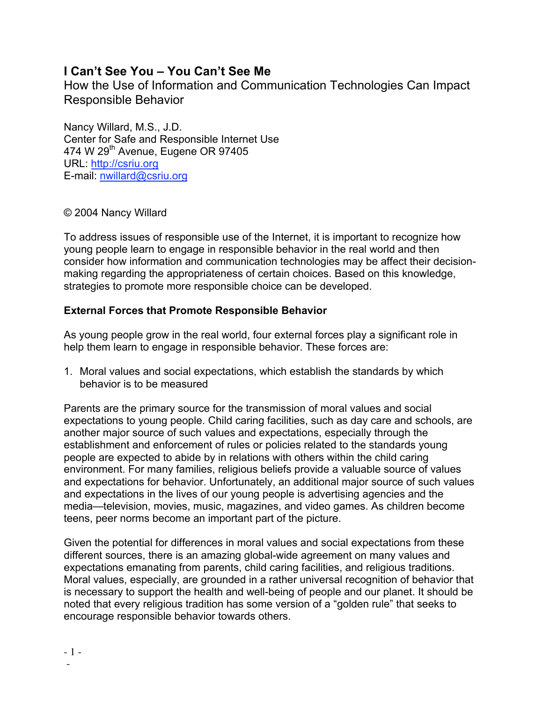# **I Can't See You – You Can't See Me**

How the Use of Information and Communication Technologies Can Impact Responsible Behavior

Nancy Willard, M.S., J.D. Center for Safe and Responsible Internet Use 474 W 29<sup>th</sup> Avenue, Eugene OR 97405 URL: http://csriu.org E-mail: nwillard@csriu.org

### © 2004 Nancy Willard

To address issues of responsible use of the Internet, it is important to recognize how young people learn to engage in responsible behavior in the real world and then consider how information and communication technologies may be affect their decisionmaking regarding the appropriateness of certain choices. Based on this knowledge, strategies to promote more responsible choice can be developed.

## **External Forces that Promote Responsible Behavior**

As young people grow in the real world, four external forces play a significant role in help them learn to engage in responsible behavior. These forces are:

1. Moral values and social expectations, which establish the standards by which behavior is to be measured

Parents are the primary source for the transmission of moral values and social expectations to young people. Child caring facilities, such as day care and schools, are another major source of such values and expectations, especially through the establishment and enforcement of rules or policies related to the standards young people are expected to abide by in relations with others within the child caring environment. For many families, religious beliefs provide a valuable source of values and expectations for behavior. Unfortunately, an additional major source of such values and expectations in the lives of our young people is advertising agencies and the media—television, movies, music, magazines, and video games. As children become teens, peer norms become an important part of the picture.

Given the potential for differences in moral values and social expectations from these different sources, there is an amazing global-wide agreement on many values and expectations emanating from parents, child caring facilities, and religious traditions. Moral values, especially, are grounded in a rather universal recognition of behavior that is necessary to support the health and well-being of people and our planet. It should be noted that every religious tradition has some version of a "golden rule" that seeks to encourage responsible behavior towards others.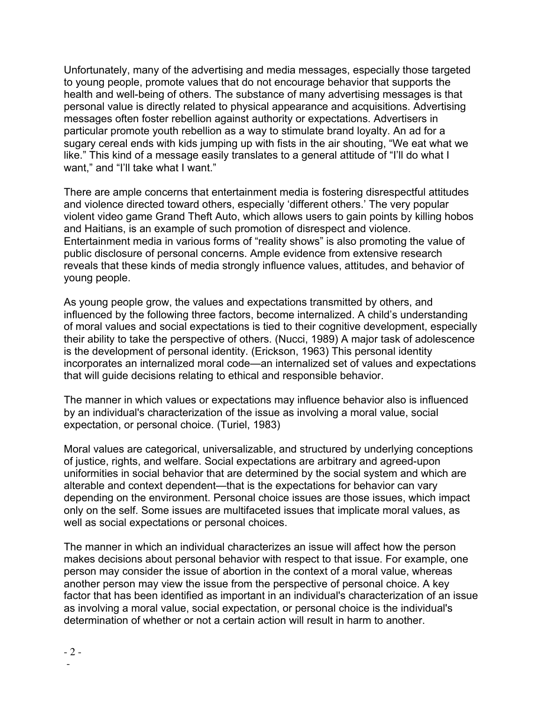Unfortunately, many of the advertising and media messages, especially those targeted to young people, promote values that do not encourage behavior that supports the health and well-being of others. The substance of many advertising messages is that personal value is directly related to physical appearance and acquisitions. Advertising messages often foster rebellion against authority or expectations. Advertisers in particular promote youth rebellion as a way to stimulate brand loyalty. An ad for a sugary cereal ends with kids jumping up with fists in the air shouting, "We eat what we like." This kind of a message easily translates to a general attitude of "I'll do what I want," and "I'll take what I want."

There are ample concerns that entertainment media is fostering disrespectful attitudes and violence directed toward others, especially 'different others.' The very popular violent video game Grand Theft Auto, which allows users to gain points by killing hobos and Haitians, is an example of such promotion of disrespect and violence. Entertainment media in various forms of "reality shows" is also promoting the value of public disclosure of personal concerns. Ample evidence from extensive research reveals that these kinds of media strongly influence values, attitudes, and behavior of young people.

As young people grow, the values and expectations transmitted by others, and influenced by the following three factors, become internalized. A child's understanding of moral values and social expectations is tied to their cognitive development, especially their ability to take the perspective of others. (Nucci, 1989) A major task of adolescence is the development of personal identity. (Erickson, 1963) This personal identity incorporates an internalized moral code—an internalized set of values and expectations that will guide decisions relating to ethical and responsible behavior.

The manner in which values or expectations may influence behavior also is influenced by an individual's characterization of the issue as involving a moral value, social expectation, or personal choice. (Turiel, 1983)

Moral values are categorical, universalizable, and structured by underlying conceptions of justice, rights, and welfare. Social expectations are arbitrary and agreed-upon uniformities in social behavior that are determined by the social system and which are alterable and context dependent—that is the expectations for behavior can vary depending on the environment. Personal choice issues are those issues, which impact only on the self. Some issues are multifaceted issues that implicate moral values, as well as social expectations or personal choices.

The manner in which an individual characterizes an issue will affect how the person makes decisions about personal behavior with respect to that issue. For example, one person may consider the issue of abortion in the context of a moral value, whereas another person may view the issue from the perspective of personal choice. A key factor that has been identified as important in an individual's characterization of an issue as involving a moral value, social expectation, or personal choice is the individual's determination of whether or not a certain action will result in harm to another.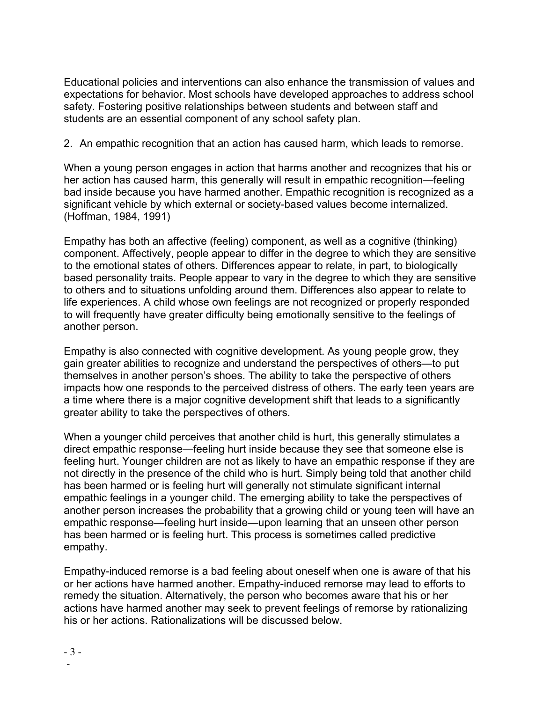Educational policies and interventions can also enhance the transmission of values and expectations for behavior. Most schools have developed approaches to address school safety. Fostering positive relationships between students and between staff and students are an essential component of any school safety plan.

#### 2. An empathic recognition that an action has caused harm, which leads to remorse.

When a young person engages in action that harms another and recognizes that his or her action has caused harm, this generally will result in empathic recognition—feeling bad inside because you have harmed another. Empathic recognition is recognized as a significant vehicle by which external or society-based values become internalized. (Hoffman, 1984, 1991)

Empathy has both an affective (feeling) component, as well as a cognitive (thinking) component. Affectively, people appear to differ in the degree to which they are sensitive to the emotional states of others. Differences appear to relate, in part, to biologically based personality traits. People appear to vary in the degree to which they are sensitive to others and to situations unfolding around them. Differences also appear to relate to life experiences. A child whose own feelings are not recognized or properly responded to will frequently have greater difficulty being emotionally sensitive to the feelings of another person.

Empathy is also connected with cognitive development. As young people grow, they gain greater abilities to recognize and understand the perspectives of others—to put themselves in another person's shoes. The ability to take the perspective of others impacts how one responds to the perceived distress of others. The early teen years are a time where there is a major cognitive development shift that leads to a significantly greater ability to take the perspectives of others.

When a younger child perceives that another child is hurt, this generally stimulates a direct empathic response—feeling hurt inside because they see that someone else is feeling hurt. Younger children are not as likely to have an empathic response if they are not directly in the presence of the child who is hurt. Simply being told that another child has been harmed or is feeling hurt will generally not stimulate significant internal empathic feelings in a younger child. The emerging ability to take the perspectives of another person increases the probability that a growing child or young teen will have an empathic response—feeling hurt inside—upon learning that an unseen other person has been harmed or is feeling hurt. This process is sometimes called predictive empathy.

Empathy-induced remorse is a bad feeling about oneself when one is aware of that his or her actions have harmed another. Empathy-induced remorse may lead to efforts to remedy the situation. Alternatively, the person who becomes aware that his or her actions have harmed another may seek to prevent feelings of remorse by rationalizing his or her actions. Rationalizations will be discussed below.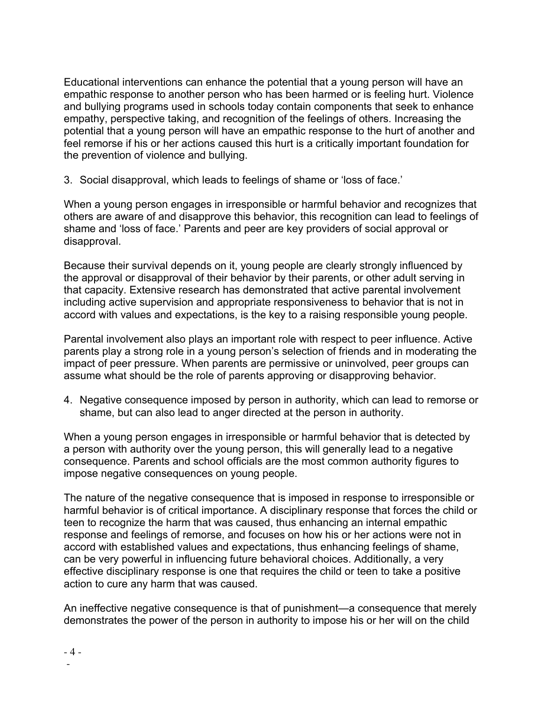Educational interventions can enhance the potential that a young person will have an empathic response to another person who has been harmed or is feeling hurt. Violence and bullying programs used in schools today contain components that seek to enhance empathy, perspective taking, and recognition of the feelings of others. Increasing the potential that a young person will have an empathic response to the hurt of another and feel remorse if his or her actions caused this hurt is a critically important foundation for the prevention of violence and bullying.

3. Social disapproval, which leads to feelings of shame or 'loss of face.'

When a young person engages in irresponsible or harmful behavior and recognizes that others are aware of and disapprove this behavior, this recognition can lead to feelings of shame and 'loss of face.' Parents and peer are key providers of social approval or disapproval.

Because their survival depends on it, young people are clearly strongly influenced by the approval or disapproval of their behavior by their parents, or other adult serving in that capacity. Extensive research has demonstrated that active parental involvement including active supervision and appropriate responsiveness to behavior that is not in accord with values and expectations, is the key to a raising responsible young people.

Parental involvement also plays an important role with respect to peer influence. Active parents play a strong role in a young person's selection of friends and in moderating the impact of peer pressure. When parents are permissive or uninvolved, peer groups can assume what should be the role of parents approving or disapproving behavior.

4. Negative consequence imposed by person in authority, which can lead to remorse or shame, but can also lead to anger directed at the person in authority.

When a young person engages in irresponsible or harmful behavior that is detected by a person with authority over the young person, this will generally lead to a negative consequence. Parents and school officials are the most common authority figures to impose negative consequences on young people.

The nature of the negative consequence that is imposed in response to irresponsible or harmful behavior is of critical importance. A disciplinary response that forces the child or teen to recognize the harm that was caused, thus enhancing an internal empathic response and feelings of remorse, and focuses on how his or her actions were not in accord with established values and expectations, thus enhancing feelings of shame, can be very powerful in influencing future behavioral choices. Additionally, a very effective disciplinary response is one that requires the child or teen to take a positive action to cure any harm that was caused.

An ineffective negative consequence is that of punishment—a consequence that merely demonstrates the power of the person in authority to impose his or her will on the child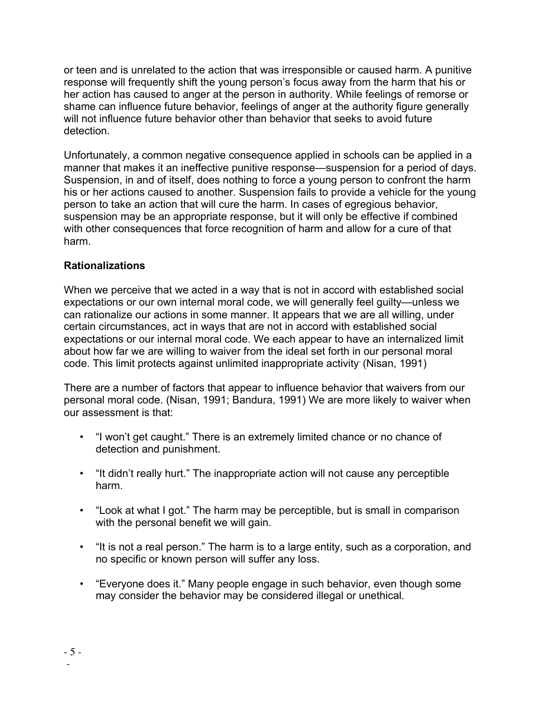or teen and is unrelated to the action that was irresponsible or caused harm. A punitive response will frequently shift the young person's focus away from the harm that his or her action has caused to anger at the person in authority. While feelings of remorse or shame can influence future behavior, feelings of anger at the authority figure generally will not influence future behavior other than behavior that seeks to avoid future detection.

Unfortunately, a common negative consequence applied in schools can be applied in a manner that makes it an ineffective punitive response—suspension for a period of days. Suspension, in and of itself, does nothing to force a young person to confront the harm his or her actions caused to another. Suspension fails to provide a vehicle for the young person to take an action that will cure the harm. In cases of egregious behavior, suspension may be an appropriate response, but it will only be effective if combined with other consequences that force recognition of harm and allow for a cure of that harm.

### **Rationalizations**

When we perceive that we acted in a way that is not in accord with established social expectations or our own internal moral code, we will generally feel guilty—unless we can rationalize our actions in some manner. It appears that we are all willing, under certain circumstances, act in ways that are not in accord with established social expectations or our internal moral code. We each appear to have an internalized limit about how far we are willing to waiver from the ideal set forth in our personal moral code. This limit protects against unlimited inappropriate activity. (Nisan, 1991)

There are a number of factors that appear to influence behavior that waivers from our personal moral code. (Nisan, 1991; Bandura, 1991) We are more likely to waiver when our assessment is that:

- "I won't get caught." There is an extremely limited chance or no chance of detection and punishment.
- "It didn't really hurt." The inappropriate action will not cause any perceptible harm.
- "Look at what I got." The harm may be perceptible, but is small in comparison with the personal benefit we will gain.
- "It is not a real person." The harm is to a large entity, such as a corporation, and no specific or known person will suffer any loss.
- "Everyone does it." Many people engage in such behavior, even though some may consider the behavior may be considered illegal or unethical.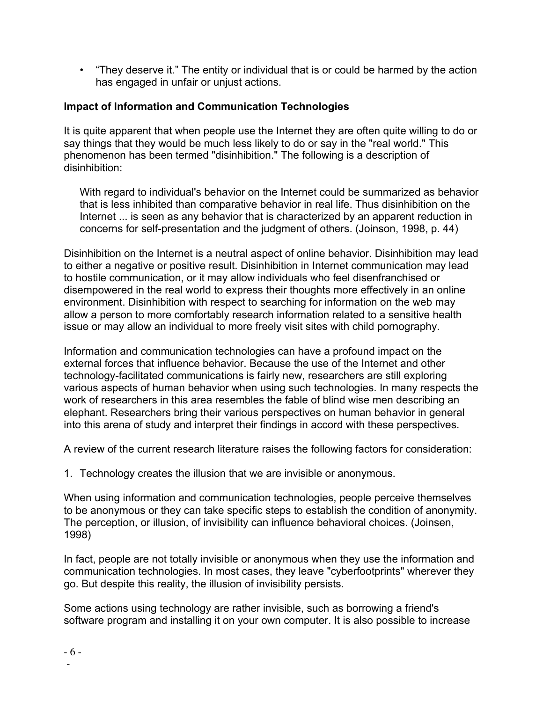• "They deserve it." The entity or individual that is or could be harmed by the action has engaged in unfair or unjust actions.

## **Impact of Information and Communication Technologies**

It is quite apparent that when people use the Internet they are often quite willing to do or say things that they would be much less likely to do or say in the "real world." This phenomenon has been termed "disinhibition." The following is a description of disinhibition:

With regard to individual's behavior on the Internet could be summarized as behavior that is less inhibited than comparative behavior in real life. Thus disinhibition on the Internet ... is seen as any behavior that is characterized by an apparent reduction in concerns for self-presentation and the judgment of others. (Joinson, 1998, p. 44)

Disinhibition on the Internet is a neutral aspect of online behavior. Disinhibition may lead to either a negative or positive result. Disinhibition in Internet communication may lead to hostile communication, or it may allow individuals who feel disenfranchised or disempowered in the real world to express their thoughts more effectively in an online environment. Disinhibition with respect to searching for information on the web may allow a person to more comfortably research information related to a sensitive health issue or may allow an individual to more freely visit sites with child pornography.

Information and communication technologies can have a profound impact on the external forces that influence behavior. Because the use of the Internet and other technology-facilitated communications is fairly new, researchers are still exploring various aspects of human behavior when using such technologies. In many respects the work of researchers in this area resembles the fable of blind wise men describing an elephant. Researchers bring their various perspectives on human behavior in general into this arena of study and interpret their findings in accord with these perspectives.

A review of the current research literature raises the following factors for consideration:

1. Technology creates the illusion that we are invisible or anonymous.

When using information and communication technologies, people perceive themselves to be anonymous or they can take specific steps to establish the condition of anonymity. The perception, or illusion, of invisibility can influence behavioral choices. (Joinsen, 1998)

In fact, people are not totally invisible or anonymous when they use the information and communication technologies. In most cases, they leave "cyberfootprints" wherever they go. But despite this reality, the illusion of invisibility persists.

Some actions using technology are rather invisible, such as borrowing a friend's software program and installing it on your own computer. It is also possible to increase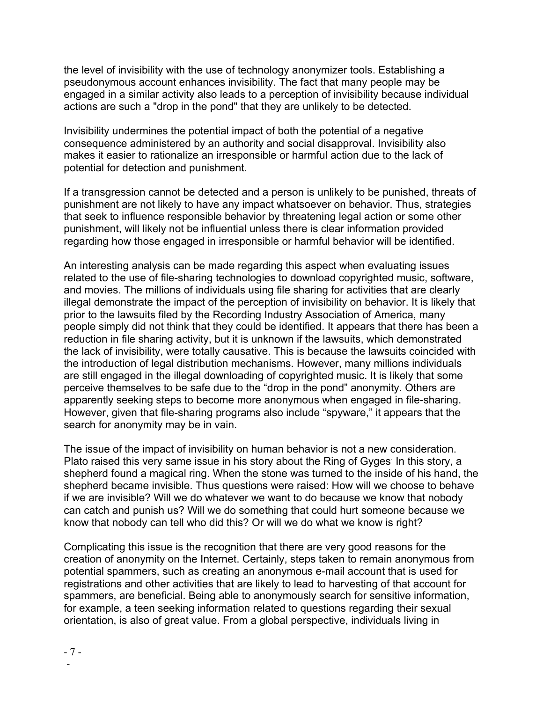the level of invisibility with the use of technology anonymizer tools. Establishing a pseudonymous account enhances invisibility. The fact that many people may be engaged in a similar activity also leads to a perception of invisibility because individual actions are such a "drop in the pond" that they are unlikely to be detected.

Invisibility undermines the potential impact of both the potential of a negative consequence administered by an authority and social disapproval. Invisibility also makes it easier to rationalize an irresponsible or harmful action due to the lack of potential for detection and punishment.

If a transgression cannot be detected and a person is unlikely to be punished, threats of punishment are not likely to have any impact whatsoever on behavior. Thus, strategies that seek to influence responsible behavior by threatening legal action or some other punishment, will likely not be influential unless there is clear information provided regarding how those engaged in irresponsible or harmful behavior will be identified.

An interesting analysis can be made regarding this aspect when evaluating issues related to the use of file-sharing technologies to download copyrighted music, software, and movies. The millions of individuals using file sharing for activities that are clearly illegal demonstrate the impact of the perception of invisibility on behavior. It is likely that prior to the lawsuits filed by the Recording Industry Association of America, many people simply did not think that they could be identified. It appears that there has been a reduction in file sharing activity, but it is unknown if the lawsuits, which demonstrated the lack of invisibility, were totally causative. This is because the lawsuits coincided with the introduction of legal distribution mechanisms. However, many millions individuals are still engaged in the illegal downloading of copyrighted music. It is likely that some perceive themselves to be safe due to the "drop in the pond" anonymity. Others are apparently seeking steps to become more anonymous when engaged in file-sharing. However, given that file-sharing programs also include "spyware," it appears that the search for anonymity may be in vain.

The issue of the impact of invisibility on human behavior is not a new consideration. Plato raised this very same issue in his story about the Ring of Gyges In this story, a shepherd found a magical ring. When the stone was turned to the inside of his hand, the shepherd became invisible. Thus questions were raised: How will we choose to behave if we are invisible? Will we do whatever we want to do because we know that nobody can catch and punish us? Will we do something that could hurt someone because we know that nobody can tell who did this? Or will we do what we know is right?

Complicating this issue is the recognition that there are very good reasons for the creation of anonymity on the Internet. Certainly, steps taken to remain anonymous from potential spammers, such as creating an anonymous e-mail account that is used for registrations and other activities that are likely to lead to harvesting of that account for spammers, are beneficial. Being able to anonymously search for sensitive information, for example, a teen seeking information related to questions regarding their sexual orientation, is also of great value. From a global perspective, individuals living in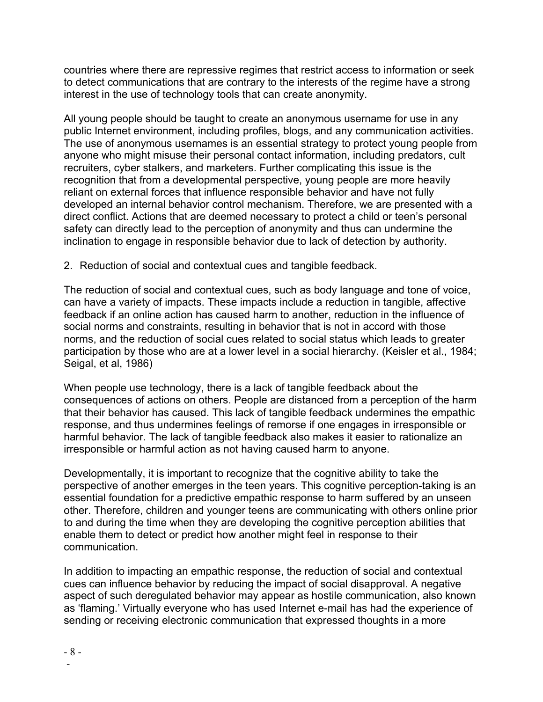countries where there are repressive regimes that restrict access to information or seek to detect communications that are contrary to the interests of the regime have a strong interest in the use of technology tools that can create anonymity.

All young people should be taught to create an anonymous username for use in any public Internet environment, including profiles, blogs, and any communication activities. The use of anonymous usernames is an essential strategy to protect young people from anyone who might misuse their personal contact information, including predators, cult recruiters, cyber stalkers, and marketers. Further complicating this issue is the recognition that from a developmental perspective, young people are more heavily reliant on external forces that influence responsible behavior and have not fully developed an internal behavior control mechanism. Therefore, we are presented with a direct conflict. Actions that are deemed necessary to protect a child or teen's personal safety can directly lead to the perception of anonymity and thus can undermine the inclination to engage in responsible behavior due to lack of detection by authority.

2. Reduction of social and contextual cues and tangible feedback.

The reduction of social and contextual cues, such as body language and tone of voice, can have a variety of impacts. These impacts include a reduction in tangible, affective feedback if an online action has caused harm to another, reduction in the influence of social norms and constraints, resulting in behavior that is not in accord with those norms, and the reduction of social cues related to social status which leads to greater participation by those who are at a lower level in a social hierarchy. (Keisler et al., 1984; Seigal, et al, 1986)

When people use technology, there is a lack of tangible feedback about the consequences of actions on others. People are distanced from a perception of the harm that their behavior has caused. This lack of tangible feedback undermines the empathic response, and thus undermines feelings of remorse if one engages in irresponsible or harmful behavior. The lack of tangible feedback also makes it easier to rationalize an irresponsible or harmful action as not having caused harm to anyone.

Developmentally, it is important to recognize that the cognitive ability to take the perspective of another emerges in the teen years. This cognitive perception-taking is an essential foundation for a predictive empathic response to harm suffered by an unseen other. Therefore, children and younger teens are communicating with others online prior to and during the time when they are developing the cognitive perception abilities that enable them to detect or predict how another might feel in response to their communication.

In addition to impacting an empathic response, the reduction of social and contextual cues can influence behavior by reducing the impact of social disapproval. A negative aspect of such deregulated behavior may appear as hostile communication, also known as 'flaming.' Virtually everyone who has used Internet e-mail has had the experience of sending or receiving electronic communication that expressed thoughts in a more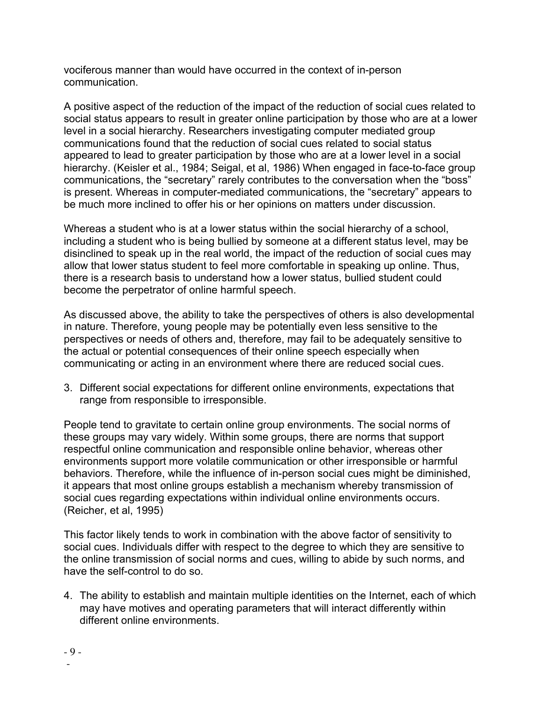vociferous manner than would have occurred in the context of in-person communication.

A positive aspect of the reduction of the impact of the reduction of social cues related to social status appears to result in greater online participation by those who are at a lower level in a social hierarchy. Researchers investigating computer mediated group communications found that the reduction of social cues related to social status appeared to lead to greater participation by those who are at a lower level in a social hierarchy. (Keisler et al., 1984; Seigal, et al, 1986) When engaged in face-to-face group communications, the "secretary" rarely contributes to the conversation when the "boss" is present. Whereas in computer-mediated communications, the "secretary" appears to be much more inclined to offer his or her opinions on matters under discussion.

Whereas a student who is at a lower status within the social hierarchy of a school, including a student who is being bullied by someone at a different status level, may be disinclined to speak up in the real world, the impact of the reduction of social cues may allow that lower status student to feel more comfortable in speaking up online. Thus, there is a research basis to understand how a lower status, bullied student could become the perpetrator of online harmful speech.

As discussed above, the ability to take the perspectives of others is also developmental in nature. Therefore, young people may be potentially even less sensitive to the perspectives or needs of others and, therefore, may fail to be adequately sensitive to the actual or potential consequences of their online speech especially when communicating or acting in an environment where there are reduced social cues.

3. Different social expectations for different online environments, expectations that range from responsible to irresponsible.

People tend to gravitate to certain online group environments. The social norms of these groups may vary widely. Within some groups, there are norms that support respectful online communication and responsible online behavior, whereas other environments support more volatile communication or other irresponsible or harmful behaviors. Therefore, while the influence of in-person social cues might be diminished, it appears that most online groups establish a mechanism whereby transmission of social cues regarding expectations within individual online environments occurs. (Reicher, et al, 1995)

This factor likely tends to work in combination with the above factor of sensitivity to social cues. Individuals differ with respect to the degree to which they are sensitive to the online transmission of social norms and cues, willing to abide by such norms, and have the self-control to do so.

4. The ability to establish and maintain multiple identities on the Internet, each of which may have motives and operating parameters that will interact differently within different online environments.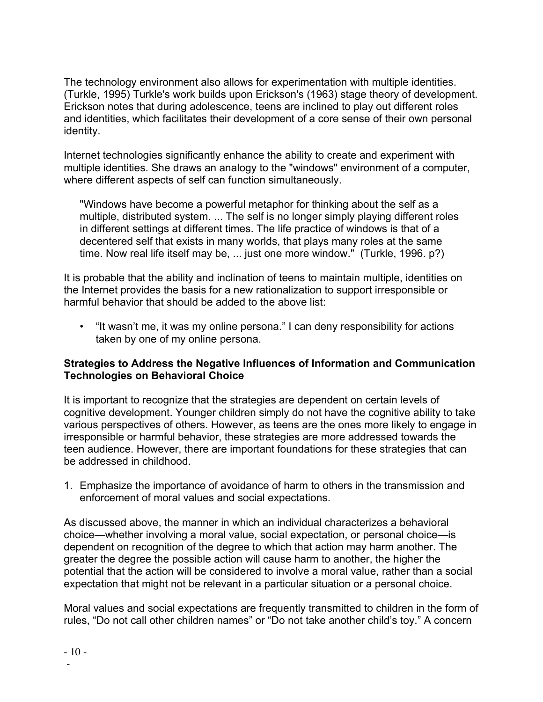The technology environment also allows for experimentation with multiple identities. (Turkle, 1995) Turkle's work builds upon Erickson's (1963) stage theory of development. Erickson notes that during adolescence, teens are inclined to play out different roles and identities, which facilitates their development of a core sense of their own personal identity.

Internet technologies significantly enhance the ability to create and experiment with multiple identities. She draws an analogy to the "windows" environment of a computer, where different aspects of self can function simultaneously.

"Windows have become a powerful metaphor for thinking about the self as a multiple, distributed system. ... The self is no longer simply playing different roles in different settings at different times. The life practice of windows is that of a decentered self that exists in many worlds, that plays many roles at the same time. Now real life itself may be, ... just one more window." (Turkle, 1996. p?)

It is probable that the ability and inclination of teens to maintain multiple, identities on the Internet provides the basis for a new rationalization to support irresponsible or harmful behavior that should be added to the above list:

• "It wasn't me, it was my online persona." I can deny responsibility for actions taken by one of my online persona.

## **Strategies to Address the Negative Influences of Information and Communication Technologies on Behavioral Choice**

It is important to recognize that the strategies are dependent on certain levels of cognitive development. Younger children simply do not have the cognitive ability to take various perspectives of others. However, as teens are the ones more likely to engage in irresponsible or harmful behavior, these strategies are more addressed towards the teen audience. However, there are important foundations for these strategies that can be addressed in childhood.

1. Emphasize the importance of avoidance of harm to others in the transmission and enforcement of moral values and social expectations.

As discussed above, the manner in which an individual characterizes a behavioral choice—whether involving a moral value, social expectation, or personal choice—is dependent on recognition of the degree to which that action may harm another. The greater the degree the possible action will cause harm to another, the higher the potential that the action will be considered to involve a moral value, rather than a social expectation that might not be relevant in a particular situation or a personal choice.

Moral values and social expectations are frequently transmitted to children in the form of rules, "Do not call other children names" or "Do not take another child's toy." A concern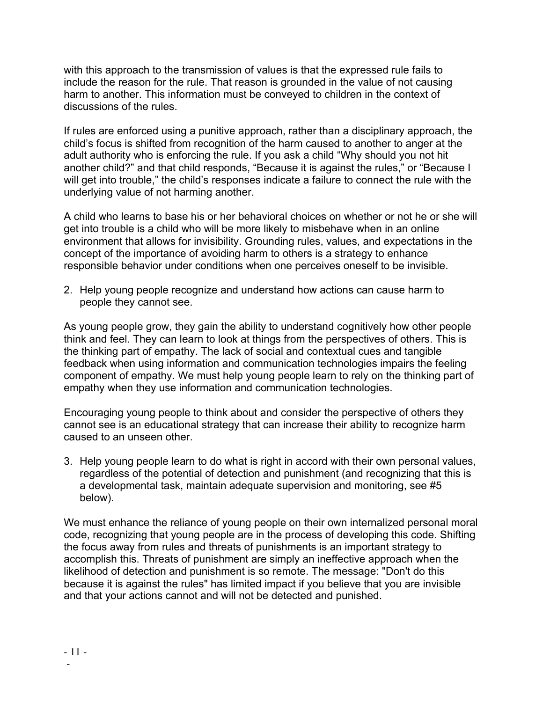with this approach to the transmission of values is that the expressed rule fails to include the reason for the rule. That reason is grounded in the value of not causing harm to another. This information must be conveyed to children in the context of discussions of the rules.

If rules are enforced using a punitive approach, rather than a disciplinary approach, the child's focus is shifted from recognition of the harm caused to another to anger at the adult authority who is enforcing the rule. If you ask a child "Why should you not hit another child?" and that child responds, "Because it is against the rules," or "Because I will get into trouble," the child's responses indicate a failure to connect the rule with the underlying value of not harming another.

A child who learns to base his or her behavioral choices on whether or not he or she will get into trouble is a child who will be more likely to misbehave when in an online environment that allows for invisibility. Grounding rules, values, and expectations in the concept of the importance of avoiding harm to others is a strategy to enhance responsible behavior under conditions when one perceives oneself to be invisible.

2. Help young people recognize and understand how actions can cause harm to people they cannot see.

As young people grow, they gain the ability to understand cognitively how other people think and feel. They can learn to look at things from the perspectives of others. This is the thinking part of empathy. The lack of social and contextual cues and tangible feedback when using information and communication technologies impairs the feeling component of empathy. We must help young people learn to rely on the thinking part of empathy when they use information and communication technologies.

Encouraging young people to think about and consider the perspective of others they cannot see is an educational strategy that can increase their ability to recognize harm caused to an unseen other.

3. Help young people learn to do what is right in accord with their own personal values, regardless of the potential of detection and punishment (and recognizing that this is a developmental task, maintain adequate supervision and monitoring, see #5 below).

We must enhance the reliance of young people on their own internalized personal moral code, recognizing that young people are in the process of developing this code. Shifting the focus away from rules and threats of punishments is an important strategy to accomplish this. Threats of punishment are simply an ineffective approach when the likelihood of detection and punishment is so remote. The message: "Don't do this because it is against the rules" has limited impact if you believe that you are invisible and that your actions cannot and will not be detected and punished.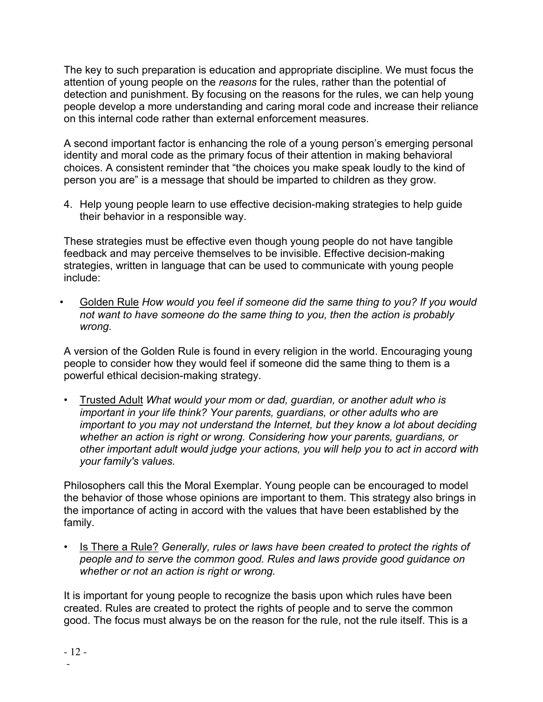The key to such preparation is education and appropriate discipline. We must focus the attention of young people on the *reasons* for the rules, rather than the potential of detection and punishment. By focusing on the reasons for the rules, we can help young people develop a more understanding and caring moral code and increase their reliance on this internal code rather than external enforcement measures.

A second important factor is enhancing the role of a young person's emerging personal identity and moral code as the primary focus of their attention in making behavioral choices. A consistent reminder that "the choices you make speak loudly to the kind of person you are" is a message that should be imparted to children as they grow.

4. Help young people learn to use effective decision-making strategies to help guide their behavior in a responsible way.

These strategies must be effective even though young people do not have tangible feedback and may perceive themselves to be invisible. Effective decision-making strategies, written in language that can be used to communicate with young people include:

• Golden Rule *How would you feel if someone did the same thing to you? If you would not want to have someone do the same thing to you, then the action is probably wrong.*

A version of the Golden Rule is found in every religion in the world. Encouraging young people to consider how they would feel if someone did the same thing to them is a powerful ethical decision-making strategy.

• Trusted Adult *What would your mom or dad, guardian, or another adult who is important in your life think? Your parents, guardians, or other adults who are important to you may not understand the Internet, but they know a lot about deciding whether an action is right or wrong. Considering how your parents, guardians, or other important adult would judge your actions, you will help you to act in accord with your family's values.*

Philosophers call this the Moral Exemplar. Young people can be encouraged to model the behavior of those whose opinions are important to them. This strategy also brings in the importance of acting in accord with the values that have been established by the family.

• Is There a Rule? *Generally, rules or laws have been created to protect the rights of people and to serve the common good. Rules and laws provide good guidance on whether or not an action is right or wrong.*

It is important for young people to recognize the basis upon which rules have been created. Rules are created to protect the rights of people and to serve the common good. The focus must always be on the reason for the rule, not the rule itself. This is a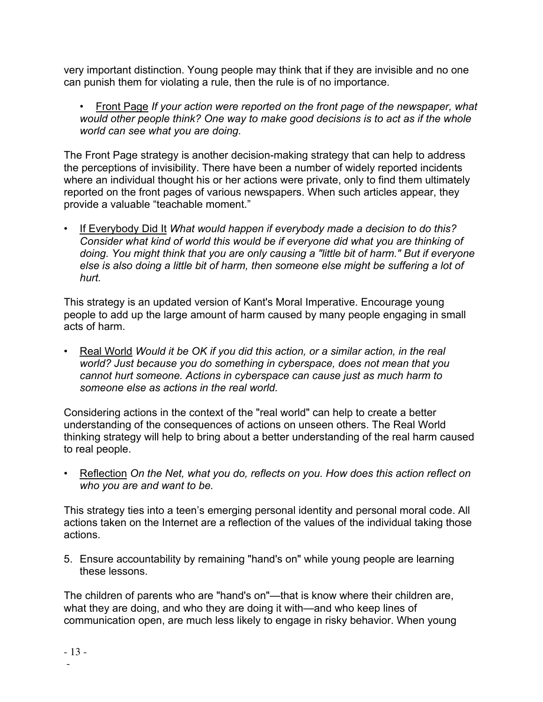very important distinction. Young people may think that if they are invisible and no one can punish them for violating a rule, then the rule is of no importance.

• Front Page *If your action were reported on the front page of the newspaper, what would other people think? One way to make good decisions is to act as if the whole world can see what you are doing.*

The Front Page strategy is another decision-making strategy that can help to address the perceptions of invisibility. There have been a number of widely reported incidents where an individual thought his or her actions were private, only to find them ultimately reported on the front pages of various newspapers. When such articles appear, they provide a valuable "teachable moment."

• If Everybody Did It *What would happen if everybody made a decision to do this? Consider what kind of world this would be if everyone did what you are thinking of doing. You might think that you are only causing a "little bit of harm." But if everyone else is also doing a little bit of harm, then someone else might be suffering a lot of hurt.*

This strategy is an updated version of Kant's Moral Imperative. Encourage young people to add up the large amount of harm caused by many people engaging in small acts of harm.

• Real World *Would it be OK if you did this action, or a similar action, in the real world? Just because you do something in cyberspace, does not mean that you cannot hurt someone. Actions in cyberspace can cause just as much harm to someone else as actions in the real world.*

Considering actions in the context of the "real world" can help to create a better understanding of the consequences of actions on unseen others. The Real World thinking strategy will help to bring about a better understanding of the real harm caused to real people.

• Reflection *On the Net, what you do, reflects on you. How does this action reflect on who you are and want to be.*

This strategy ties into a teen's emerging personal identity and personal moral code. All actions taken on the Internet are a reflection of the values of the individual taking those actions.

5. Ensure accountability by remaining "hand's on" while young people are learning these lessons.

The children of parents who are "hand's on"—that is know where their children are, what they are doing, and who they are doing it with—and who keep lines of communication open, are much less likely to engage in risky behavior. When young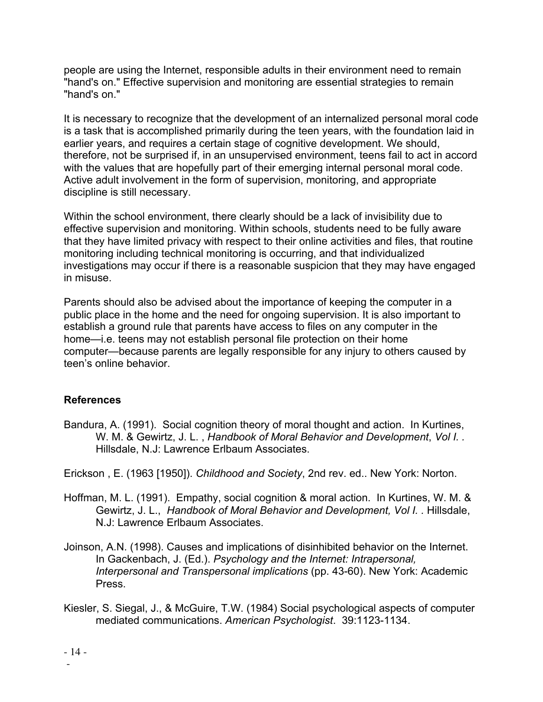people are using the Internet, responsible adults in their environment need to remain "hand's on." Effective supervision and monitoring are essential strategies to remain "hand's on."

It is necessary to recognize that the development of an internalized personal moral code is a task that is accomplished primarily during the teen years, with the foundation laid in earlier years, and requires a certain stage of cognitive development. We should, therefore, not be surprised if, in an unsupervised environment, teens fail to act in accord with the values that are hopefully part of their emerging internal personal moral code. Active adult involvement in the form of supervision, monitoring, and appropriate discipline is still necessary.

Within the school environment, there clearly should be a lack of invisibility due to effective supervision and monitoring. Within schools, students need to be fully aware that they have limited privacy with respect to their online activities and files, that routine monitoring including technical monitoring is occurring, and that individualized investigations may occur if there is a reasonable suspicion that they may have engaged in misuse.

Parents should also be advised about the importance of keeping the computer in a public place in the home and the need for ongoing supervision. It is also important to establish a ground rule that parents have access to files on any computer in the home—i.e. teens may not establish personal file protection on their home computer—because parents are legally responsible for any injury to others caused by teen's online behavior.

### **References**

Bandura, A. (1991). Social cognition theory of moral thought and action. In Kurtines, W. M. & Gewirtz, J. L. , *Handbook of Moral Behavior and Development*, *Vol I. .* Hillsdale, N.J: Lawrence Erlbaum Associates.

Erickson , E. (1963 [1950]). *Childhood and Society*, 2nd rev. ed.. New York: Norton.

- Hoffman, M. L. (1991). Empathy, social cognition & moral action. In Kurtines, W. M. & Gewirtz, J. L., *Handbook of Moral Behavior and Development, Vol I. .* Hillsdale, N.J: Lawrence Erlbaum Associates.
- Joinson, A.N. (1998). Causes and implications of disinhibited behavior on the Internet. In Gackenbach, J. (Ed.). *Psychology and the Internet: Intrapersonal, Interpersonal and Transpersonal implications* (pp. 43-60). New York: Academic Press.
- Kiesler, S. Siegal, J., & McGuire, T.W. (1984) Social psychological aspects of computer mediated communications. *American Psychologist*. 39:1123-1134.